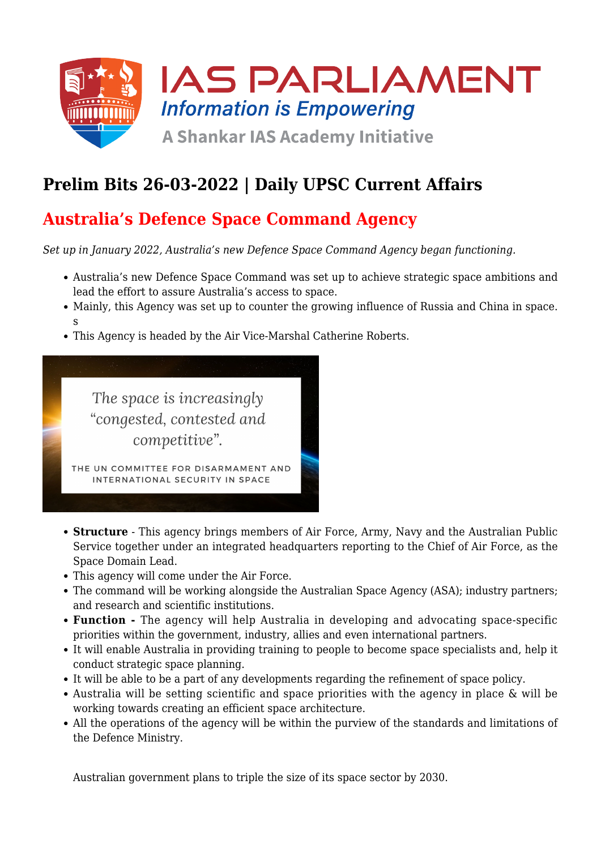

# **Prelim Bits 26-03-2022 | Daily UPSC Current Affairs**

## **Australia's Defence Space Command Agency**

*Set up in January 2022, Australia's new Defence Space Command Agency began functioning.*

- Australia's new Defence Space Command was set up to achieve strategic space ambitions and lead the effort to assure Australia's access to space.
- Mainly, this Agency was set up to counter the growing influence of Russia and China in space. s
- This Agency is headed by the Air Vice-Marshal Catherine Roberts.



- **Structure** This agency brings members of Air Force, Army, Navy and the Australian Public Service together under an integrated headquarters reporting to the Chief of Air Force, as the Space Domain Lead.
- This agency will come under the Air Force.
- The command will be working alongside the Australian Space Agency (ASA); industry partners; and research and scientific institutions.
- **Function** The agency will help Australia in developing and advocating space-specific priorities within the government, industry, allies and even international partners.
- It will enable Australia in providing training to people to become space specialists and, help it conduct strategic space planning.
- It will be able to be a part of any developments regarding the refinement of space policy.
- Australia will be setting scientific and space priorities with the agency in place & will be working towards creating an efficient space architecture.
- All the operations of the agency will be within the purview of the standards and limitations of the Defence Ministry.

Australian government plans to triple the size of its space sector by 2030.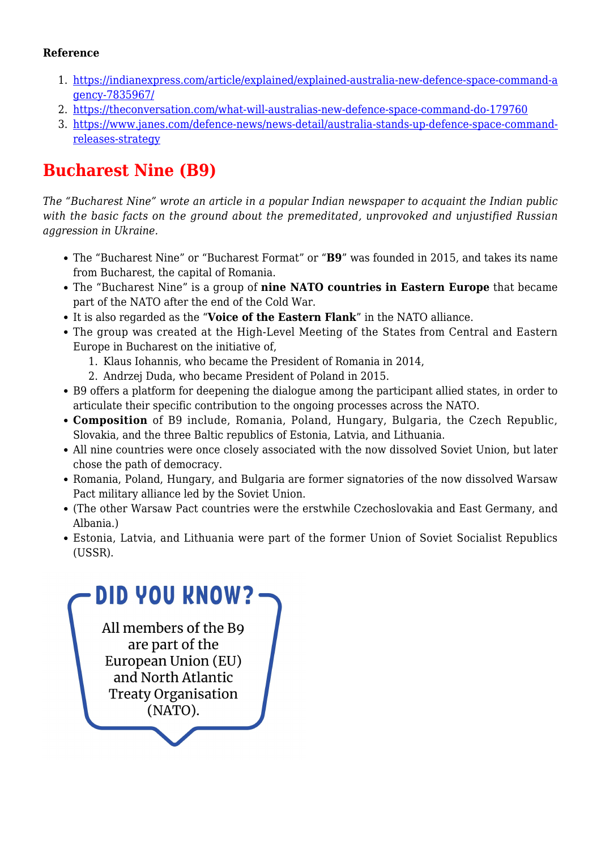#### **Reference**

- 1. [https://indianexpress.com/article/explained/explained-australia-new-defence-space-command-a](https://indianexpress.com/article/explained/explained-australia-new-defence-space-command-agency-7835967/) [gency-7835967/](https://indianexpress.com/article/explained/explained-australia-new-defence-space-command-agency-7835967/)
- 2. <https://theconversation.com/what-will-australias-new-defence-space-command-do-179760>
- 3. [https://www.janes.com/defence-news/news-detail/australia-stands-up-defence-space-command](https://www.janes.com/defence-news/news-detail/australia-stands-up-defence-space-command-releases-strategy)[releases-strategy](https://www.janes.com/defence-news/news-detail/australia-stands-up-defence-space-command-releases-strategy)

# **Bucharest Nine (B9)**

*The "Bucharest Nine" wrote an article in a popular Indian newspaper to acquaint the Indian public with the basic facts on the ground about the premeditated, unprovoked and unjustified Russian aggression in Ukraine.*

- The "Bucharest Nine" or "Bucharest Format" or "**B9**" was founded in 2015, and takes its name from Bucharest, the capital of Romania.
- The "Bucharest Nine" is a group of **nine NATO countries in Eastern Europe** that became part of the NATO after the end of the Cold War.
- It is also regarded as the "**Voice of the Eastern Flank**" in the NATO alliance.
- The group was created at the High-Level Meeting of the States from Central and Eastern Europe in Bucharest on the initiative of,
	- 1. Klaus Iohannis, who became the President of Romania in 2014,
	- 2. Andrzej Duda, who became President of Poland in 2015.
- B9 offers a platform for deepening the dialogue among the participant allied states, in order to articulate their specific contribution to the ongoing processes across the NATO.
- **Composition** of B9 include, Romania, Poland, Hungary, Bulgaria, the Czech Republic, Slovakia, and the three Baltic republics of Estonia, Latvia, and Lithuania.
- All nine countries were once closely associated with the now dissolved Soviet Union, but later chose the path of democracy.
- Romania, Poland, Hungary, and Bulgaria are former signatories of the now dissolved Warsaw Pact military alliance led by the Soviet Union.
- (The other Warsaw Pact countries were the erstwhile Czechoslovakia and East Germany, and Albania.)
- Estonia, Latvia, and Lithuania were part of the former Union of Soviet Socialist Republics (USSR).

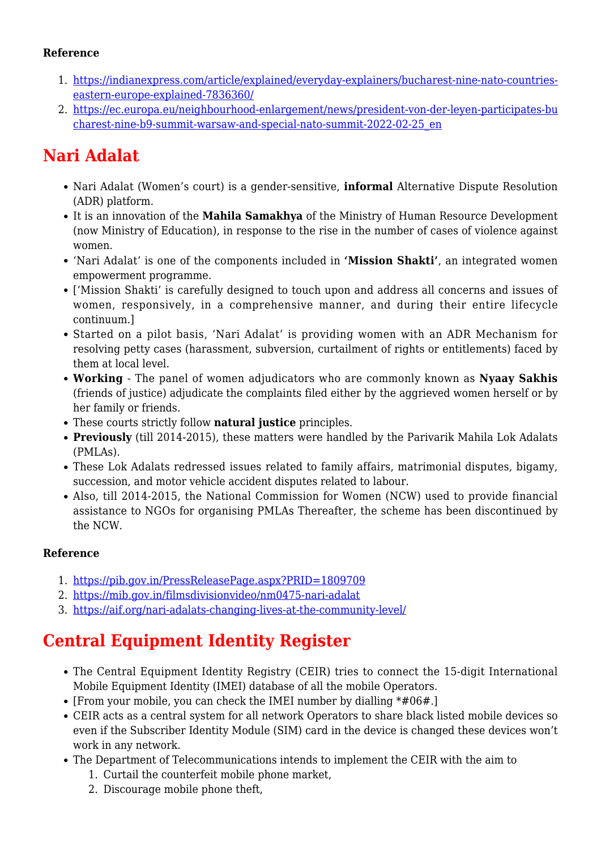#### **Reference**

- 1. [https://indianexpress.com/article/explained/everyday-explainers/bucharest-nine-nato-countries](https://indianexpress.com/article/explained/everyday-explainers/bucharest-nine-nato-countries-eastern-europe-explained-7836360/)[eastern-europe-explained-7836360/](https://indianexpress.com/article/explained/everyday-explainers/bucharest-nine-nato-countries-eastern-europe-explained-7836360/)
- 2. [https://ec.europa.eu/neighbourhood-enlargement/news/president-von-der-leyen-participates-bu](https://ec.europa.eu/neighbourhood-enlargement/news/president-von-der-leyen-participates-bucharest-nine-b9-summit-warsaw-and-special-nato-summit-2022-02-25_en) [charest-nine-b9-summit-warsaw-and-special-nato-summit-2022-02-25\\_en](https://ec.europa.eu/neighbourhood-enlargement/news/president-von-der-leyen-participates-bucharest-nine-b9-summit-warsaw-and-special-nato-summit-2022-02-25_en)

# **Nari Adalat**

- Nari Adalat (Women's court) is a gender-sensitive, **informal** Alternative Dispute Resolution (ADR) platform.
- It is an innovation of the **Mahila Samakhya** of the Ministry of Human Resource Development (now Ministry of Education), in response to the rise in the number of cases of violence against women.
- 'Nari Adalat' is one of the components included in **'Mission Shakti'**, an integrated women empowerment programme.
- ['Mission Shakti' is carefully designed to touch upon and address all concerns and issues of women, responsively, in a comprehensive manner, and during their entire lifecycle continuum.]
- Started on a pilot basis, 'Nari Adalat' is providing women with an ADR Mechanism for resolving petty cases (harassment, subversion, curtailment of rights or entitlements) faced by them at local level.
- **Working** The panel of women adjudicators who are commonly known as **Nyaay Sakhis** (friends of justice) adjudicate the complaints filed either by the aggrieved women herself or by her family or friends.
- These courts strictly follow **natural justice** principles.
- **Previously** (till 2014-2015), these matters were handled by the Parivarik Mahila Lok Adalats (PMLAs).
- These Lok Adalats redressed issues related to family affairs, matrimonial disputes, bigamy, succession, and motor vehicle accident disputes related to labour.
- Also, till 2014-2015, the National Commission for Women (NCW) used to provide financial assistance to NGOs for organising PMLAs Thereafter, the scheme has been discontinued by the NCW.

### **Reference**

- 1. <https://pib.gov.in/PressReleasePage.aspx?PRID=1809709>
- 2. <https://mib.gov.in/filmsdivisionvideo/nm0475-nari-adalat>
- 3. <https://aif.org/nari-adalats-changing-lives-at-the-community-level/>

# **Central Equipment Identity Register**

- The Central Equipment Identity Registry (CEIR) tries to connect the 15-digit International Mobile Equipment Identity (IMEI) database of all the mobile Operators.
- [From your mobile, you can check the IMEI number by dialling  $*#06#$ .]
- CEIR acts as a central system for all network Operators to share black listed mobile devices so even if the Subscriber Identity Module (SIM) card in the device is changed these devices won't work in any network.
- The Department of Telecommunications intends to implement the CEIR with the aim to
	- 1. Curtail the counterfeit mobile phone market,
	- 2. Discourage mobile phone theft,